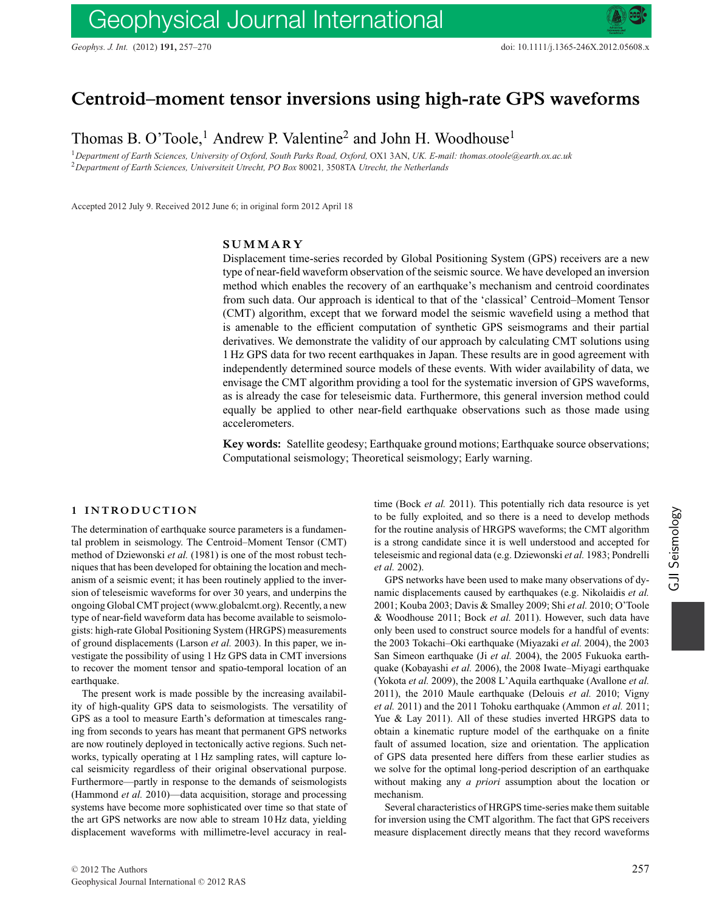# Geophysical Journal International

# **Centroid–moment tensor inversions using high-rate GPS waveforms**

Thomas B. O'Toole,<sup>1</sup> Andrew P. Valentine<sup>2</sup> and John H. Woodhouse<sup>1</sup>

<sup>1</sup>*Department of Earth Sciences, University of Oxford, South Parks Road, Oxford,* OX1 3AN, *UK. E-mail: thomas.otoole@earth.ox.ac.uk* <sup>2</sup>*Department of Earth Sciences, Universiteit Utrecht, PO Box* 80021*,* 3508TA *Utrecht, the Netherlands*

Accepted 2012 July 9. Received 2012 June 6; in original form 2012 April 18

# **SUMMARY**

Displacement time-series recorded by Global Positioning System (GPS) receivers are a new type of near-field waveform observation of the seismic source. We have developed an inversion method which enables the recovery of an earthquake's mechanism and centroid coordinates from such data. Our approach is identical to that of the 'classical' Centroid–Moment Tensor (CMT) algorithm, except that we forward model the seismic wavefield using a method that is amenable to the efficient computation of synthetic GPS seismograms and their partial derivatives. We demonstrate the validity of our approach by calculating CMT solutions using 1 Hz GPS data for two recent earthquakes in Japan. These results are in good agreement with independently determined source models of these events. With wider availability of data, we envisage the CMT algorithm providing a tool for the systematic inversion of GPS waveforms, as is already the case for teleseismic data. Furthermore, this general inversion method could equally be applied to other near-field earthquake observations such as those made using accelerometers.

**Key words:** Satellite geodesy; Earthquake ground motions; Earthquake source observations; Computational seismology; Theoretical seismology; Early warning.

#### **1 INTRODUCTION**

The determination of earthquake source parameters is a fundamental problem in seismology. The Centroid–Moment Tensor (CMT) method of Dziewonski *et al.* (1981) is one of the most robust techniques that has been developed for obtaining the location and mechanism of a seismic event; it has been routinely applied to the inversion of teleseismic waveforms for over 30 years, and underpins the ongoing Global CMT project (www.globalcmt.org). Recently, a new type of near-field waveform data has become available to seismologists: high-rate Global Positioning System (HRGPS) measurements of ground displacements (Larson *et al.* 2003). In this paper, we investigate the possibility of using 1 Hz GPS data in CMT inversions to recover the moment tensor and spatio-temporal location of an earthquake.

The present work is made possible by the increasing availability of high-quality GPS data to seismologists. The versatility of GPS as a tool to measure Earth's deformation at timescales ranging from seconds to years has meant that permanent GPS networks are now routinely deployed in tectonically active regions. Such networks, typically operating at 1 Hz sampling rates, will capture local seismicity regardless of their original observational purpose. Furthermore—partly in response to the demands of seismologists (Hammond *et al.* 2010)—data acquisition, storage and processing systems have become more sophisticated over time so that state of the art GPS networks are now able to stream 10 Hz data, yielding displacement waveforms with millimetre-level accuracy in realtime (Bock *et al.* 2011). This potentially rich data resource is yet to be fully exploited, and so there is a need to develop methods for the routine analysis of HRGPS waveforms; the CMT algorithm is a strong candidate since it is well understood and accepted for teleseismic and regional data (e.g. Dziewonski *et al.* 1983; Pondrelli *et al.* 2002).

GPS networks have been used to make many observations of dynamic displacements caused by earthquakes (e.g. Nikolaidis *et al.* 2001; Kouba 2003; Davis & Smalley 2009; Shi *et al.* 2010; O'Toole & Woodhouse 2011; Bock *et al.* 2011). However, such data have only been used to construct source models for a handful of events: the 2003 Tokachi–Oki earthquake (Miyazaki *et al.* 2004), the 2003 San Simeon earthquake (Ji *et al.* 2004), the 2005 Fukuoka earthquake (Kobayashi *et al.* 2006), the 2008 Iwate–Miyagi earthquake (Yokota *et al.* 2009), the 2008 L'Aquila earthquake (Avallone *et al.* 2011), the 2010 Maule earthquake (Delouis *et al.* 2010; Vigny *et al.* 2011) and the 2011 Tohoku earthquake (Ammon *et al.* 2011; Yue & Lay 2011). All of these studies inverted HRGPS data to obtain a kinematic rupture model of the earthquake on a finite fault of assumed location, size and orientation. The application of GPS data presented here differs from these earlier studies as we solve for the optimal long-period description of an earthquake without making any *a priori* assumption about the location or mechanism.

Several characteristics of HRGPS time-series make them suitable for inversion using the CMT algorithm. The fact that GPS receivers measure displacement directly means that they record waveforms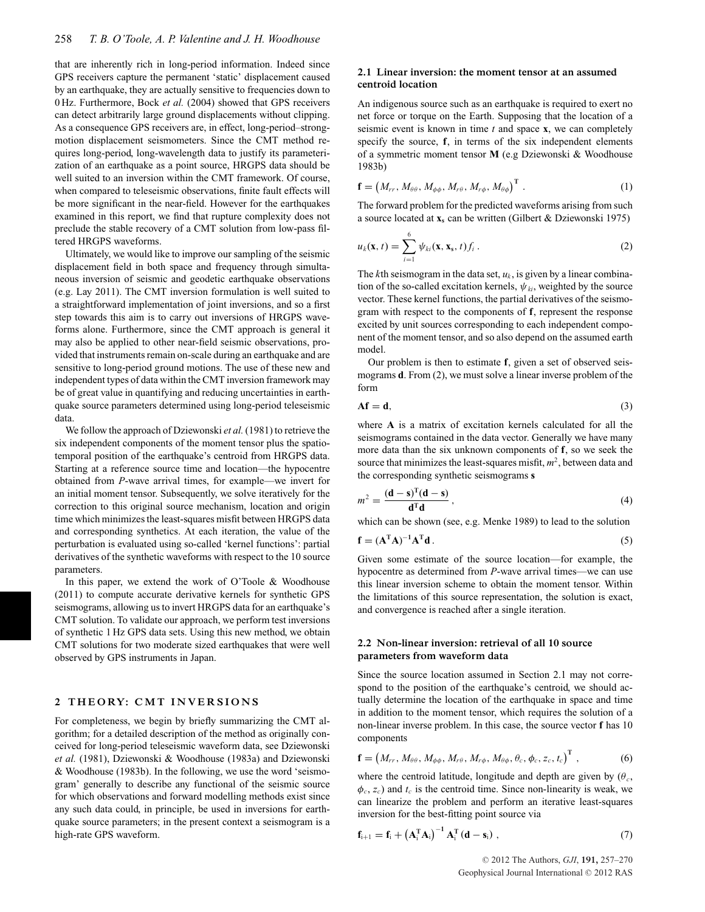that are inherently rich in long-period information. Indeed since GPS receivers capture the permanent 'static' displacement caused by an earthquake, they are actually sensitive to frequencies down to 0 Hz. Furthermore, Bock *et al.* (2004) showed that GPS receivers can detect arbitrarily large ground displacements without clipping. As a consequence GPS receivers are, in effect, long-period–strongmotion displacement seismometers. Since the CMT method requires long-period, long-wavelength data to justify its parameterization of an earthquake as a point source, HRGPS data should be well suited to an inversion within the CMT framework. Of course, when compared to teleseismic observations, finite fault effects will be more significant in the near-field. However for the earthquakes examined in this report, we find that rupture complexity does not preclude the stable recovery of a CMT solution from low-pass filtered HRGPS waveforms.

Ultimately, we would like to improve our sampling of the seismic displacement field in both space and frequency through simultaneous inversion of seismic and geodetic earthquake observations (e.g. Lay 2011). The CMT inversion formulation is well suited to a straightforward implementation of joint inversions, and so a first step towards this aim is to carry out inversions of HRGPS waveforms alone. Furthermore, since the CMT approach is general it may also be applied to other near-field seismic observations, provided that instruments remain on-scale during an earthquake and are sensitive to long-period ground motions. The use of these new and independent types of data within the CMT inversion framework may be of great value in quantifying and reducing uncertainties in earthquake source parameters determined using long-period teleseismic data.

We follow the approach of Dziewonski *et al.* (1981) to retrieve the six independent components of the moment tensor plus the spatiotemporal position of the earthquake's centroid from HRGPS data. Starting at a reference source time and location—the hypocentre obtained from *P*-wave arrival times, for example—we invert for an initial moment tensor. Subsequently, we solve iteratively for the correction to this original source mechanism, location and origin time which minimizes the least-squares misfit between HRGPS data and corresponding synthetics. At each iteration, the value of the perturbation is evaluated using so-called 'kernel functions': partial derivatives of the synthetic waveforms with respect to the 10 source parameters.

In this paper, we extend the work of O'Toole & Woodhouse (2011) to compute accurate derivative kernels for synthetic GPS seismograms, allowing us to invert HRGPS data for an earthquake's CMT solution. To validate our approach, we perform test inversions of synthetic 1 Hz GPS data sets. Using this new method, we obtain CMT solutions for two moderate sized earthquakes that were well observed by GPS instruments in Japan.

# 2 THEORY: CMT INVERSIONS

For completeness, we begin by briefly summarizing the CMT algorithm; for a detailed description of the method as originally conceived for long-period teleseismic waveform data, see Dziewonski *et al.* (1981), Dziewonski & Woodhouse (1983a) and Dziewonski & Woodhouse (1983b). In the following, we use the word 'seismogram' generally to describe any functional of the seismic source for which observations and forward modelling methods exist since any such data could, in principle, be used in inversions for earthquake source parameters; in the present context a seismogram is a high-rate GPS waveform.

# **2.1 Linear inversion: the moment tensor at an assumed centroid location**

An indigenous source such as an earthquake is required to exert no net force or torque on the Earth. Supposing that the location of a seismic event is known in time *t* and space **x**, we can completely specify the source, **f**, in terms of the six independent elements of a symmetric moment tensor **M** (e.g Dziewonski & Woodhouse 1983b)

$$
\mathbf{f} = \left(M_{rr}, M_{\theta\theta}, M_{\phi\phi}, M_{r\theta}, M_{r\phi}, M_{\theta\phi}\right)^{\mathrm{T}}.
$$
 (1)

The forward problem for the predicted waveforms arising from such a source located at **xs** can be written (Gilbert & Dziewonski 1975)

$$
u_k(\mathbf{x}, t) = \sum_{i=1}^6 \psi_{ki}(\mathbf{x}, \mathbf{x}_s, t) f_i.
$$
 (2)

The *k*th seismogram in the data set,  $u_k$ , is given by a linear combination of the so-called excitation kernels,  $\psi_{ki}$ , weighted by the source vector. These kernel functions, the partial derivatives of the seismogram with respect to the components of **f**, represent the response excited by unit sources corresponding to each independent component of the moment tensor, and so also depend on the assumed earth model.

Our problem is then to estimate **f**, given a set of observed seismograms **d**. From (2), we must solve a linear inverse problem of the form

$$
Af = d,\t\t(3)
$$

where **A** is a matrix of excitation kernels calculated for all the seismograms contained in the data vector. Generally we have many more data than the six unknown components of **f**, so we seek the source that minimizes the least-squares misfit, *m*2, between data and the corresponding synthetic seismograms **s**

$$
m^2 = \frac{(\mathbf{d} - \mathbf{s})^{\mathrm{T}}(\mathbf{d} - \mathbf{s})}{\mathbf{d}^{\mathrm{T}}\mathbf{d}},
$$
(4)

which can be shown (see, e.g. Menke 1989) to lead to the solution

$$
\mathbf{f} = (\mathbf{A}^{\mathrm{T}} \mathbf{A})^{-1} \mathbf{A}^{\mathrm{T}} \mathbf{d}.
$$
 (5)

Given some estimate of the source location—for example, the hypocentre as determined from *P*-wave arrival times—we can use this linear inversion scheme to obtain the moment tensor. Within the limitations of this source representation, the solution is exact, and convergence is reached after a single iteration.

#### **2.2 Non-linear inversion: retrieval of all 10 source parameters from waveform data**

Since the source location assumed in Section 2.1 may not correspond to the position of the earthquake's centroid, we should actually determine the location of the earthquake in space and time in addition to the moment tensor, which requires the solution of a non-linear inverse problem. In this case, the source vector **f** has 10 components

$$
\mathbf{f} = \left(M_{rr}, M_{\theta\theta}, M_{\phi\phi}, M_{r\theta}, M_{r\phi}, M_{\theta\phi}, \theta_c, \phi_c, z_c, t_c\right)^{\mathrm{T}}, \tag{6}
$$

where the centroid latitude, longitude and depth are given by  $(\theta_c,$  $\phi_c$ ,  $z_c$ ) and  $t_c$  is the centroid time. Since non-linearity is weak, we can linearize the problem and perform an iterative least-squares inversion for the best-fitting point source via

$$
\mathbf{f}_{i+1} = \mathbf{f}_i + \left(\mathbf{A}_i^{\mathrm{T}} \mathbf{A}_i\right)^{-1} \mathbf{A}_i^{\mathrm{T}} \left(\mathbf{d} - \mathbf{s}_i\right),\tag{7}
$$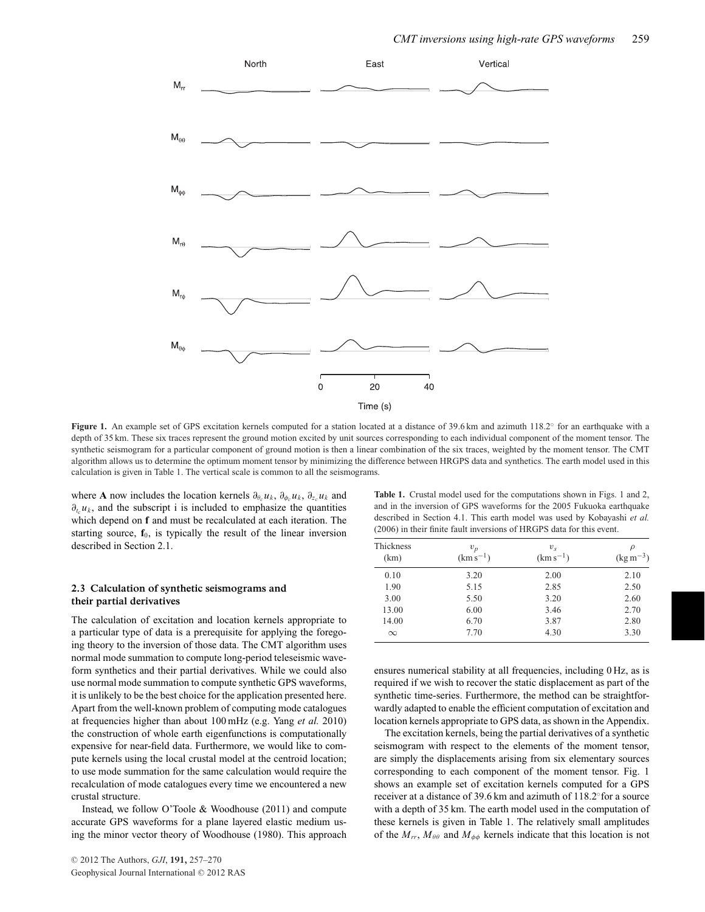

**Figure 1.** An example set of GPS excitation kernels computed for a station located at a distance of 39.6 km and azimuth 118.2◦ for an earthquake with a depth of 35 km. These six traces represent the ground motion excited by unit sources corresponding to each individual component of the moment tensor. The synthetic seismogram for a particular component of ground motion is then a linear combination of the six traces, weighted by the moment tensor. The CMT algorithm allows us to determine the optimum moment tensor by minimizing the difference between HRGPS data and synthetics. The earth model used in this calculation is given in Table 1. The vertical scale is common to all the seismograms.

where **A** now includes the location kernels  $\partial_{\theta_k} u_k$ ,  $\partial_{\phi_k} u_k$ ,  $\partial_{z_k} u_k$  and  $\partial_t u_k$ , and the subscript i is included to emphasize the quantities which depend on **f** and must be recalculated at each iteration. The starting source,  $f_0$ , is typically the result of the linear inversion described in Section 2.1.

# **2.3 Calculation of synthetic seismograms and their partial derivatives**

The calculation of excitation and location kernels appropriate to a particular type of data is a prerequisite for applying the foregoing theory to the inversion of those data. The CMT algorithm uses normal mode summation to compute long-period teleseismic waveform synthetics and their partial derivatives. While we could also use normal mode summation to compute synthetic GPS waveforms, it is unlikely to be the best choice for the application presented here. Apart from the well-known problem of computing mode catalogues at frequencies higher than about 100 mHz (e.g. Yang *et al.* 2010) the construction of whole earth eigenfunctions is computationally expensive for near-field data. Furthermore, we would like to compute kernels using the local crustal model at the centroid location; to use mode summation for the same calculation would require the recalculation of mode catalogues every time we encountered a new crustal structure.

Instead, we follow O'Toole & Woodhouse (2011) and compute accurate GPS waveforms for a plane layered elastic medium using the minor vector theory of Woodhouse (1980). This approach

Table 1. Crustal model used for the computations shown in Figs. 1 and 2, and in the inversion of GPS waveforms for the 2005 Fukuoka earthquake described in Section 4.1. This earth model was used by Kobayashi *et al.* (2006) in their finite fault inversions of HRGPS data for this event.

| Thickness<br>(km) | $v_p$<br>$(km s^{-1})$ | $v_{s}$<br>$(km s^{-1})$ | ρ<br>$(\text{kg m}^{-3})$ |
|-------------------|------------------------|--------------------------|---------------------------|
| 0.10              | 3.20                   | 2.00                     | 2.10                      |
| 1.90              | 5.15                   | 2.85                     | 2.50                      |
| 3.00              | 5.50                   | 3.20                     | 2.60                      |
| 13.00             | 6.00                   | 3.46                     | 2.70                      |
| 14.00             | 6.70                   | 3.87                     | 2.80                      |
| $\infty$          | 7.70                   | 4.30                     | 3.30                      |

ensures numerical stability at all frequencies, including 0 Hz, as is required if we wish to recover the static displacement as part of the synthetic time-series. Furthermore, the method can be straightforwardly adapted to enable the efficient computation of excitation and location kernels appropriate to GPS data, as shown in the Appendix.

The excitation kernels, being the partial derivatives of a synthetic seismogram with respect to the elements of the moment tensor, are simply the displacements arising from six elementary sources corresponding to each component of the moment tensor. Fig. 1 shows an example set of excitation kernels computed for a GPS receiver at a distance of 39.6 km and azimuth of 118.2◦for a source with a depth of 35 km. The earth model used in the computation of these kernels is given in Table 1. The relatively small amplitudes of the  $M_{rr}$ ,  $M_{\theta\theta}$  and  $M_{\phi\phi}$  kernels indicate that this location is not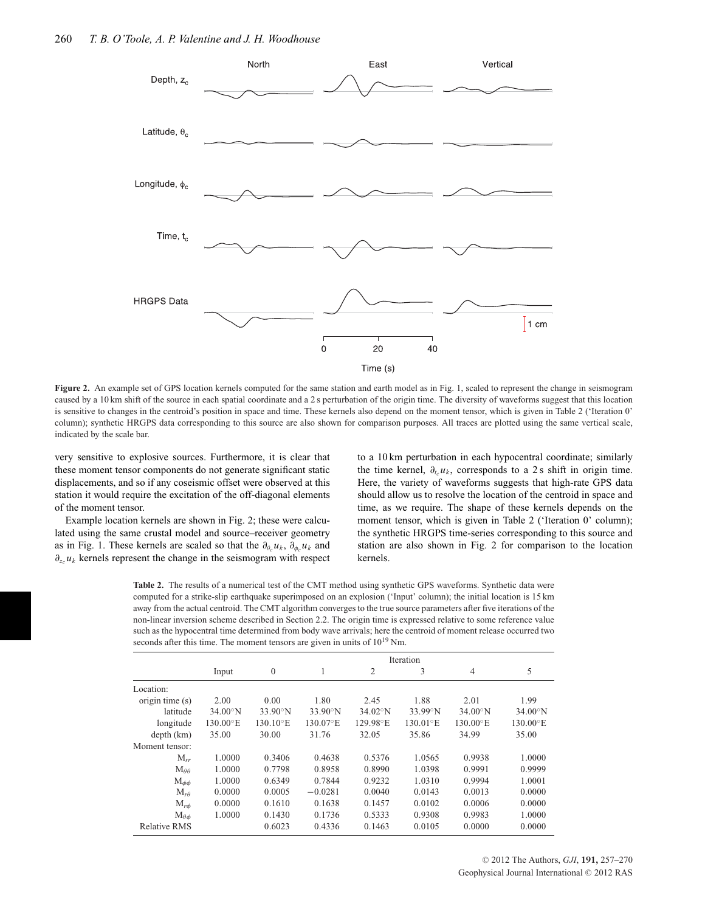

**Figure 2.** An example set of GPS location kernels computed for the same station and earth model as in Fig. 1, scaled to represent the change in seismogram caused by a 10 km shift of the source in each spatial coordinate and a 2 s perturbation of the origin time. The diversity of waveforms suggest that this location is sensitive to changes in the centroid's position in space and time. These kernels also depend on the moment tensor, which is given in Table 2 ('Iteration 0' column); synthetic HRGPS data corresponding to this source are also shown for comparison purposes. All traces are plotted using the same vertical scale, indicated by the scale bar.

very sensitive to explosive sources. Furthermore, it is clear that these moment tensor components do not generate significant static displacements, and so if any coseismic offset were observed at this station it would require the excitation of the off-diagonal elements of the moment tensor.

Example location kernels are shown in Fig. 2; these were calculated using the same crustal model and source–receiver geometry as in Fig. 1. These kernels are scaled so that the  $\partial_{\theta_c} u_k$ ,  $\partial_{\phi_c} u_k$  and  $\partial_{z}u_k$  kernels represent the change in the seismogram with respect to a 10 km perturbation in each hypocentral coordinate; similarly the time kernel,  $\partial_t u_k$ , corresponds to a 2 s shift in origin time. Here, the variety of waveforms suggests that high-rate GPS data should allow us to resolve the location of the centroid in space and time, as we require. The shape of these kernels depends on the moment tensor, which is given in Table 2 ('Iteration 0' column); the synthetic HRGPS time-series corresponding to this source and station are also shown in Fig. 2 for comparison to the location kernels.

**Table 2.** The results of a numerical test of the CMT method using synthetic GPS waveforms. Synthetic data were computed for a strike-slip earthquake superimposed on an explosion ('Input' column); the initial location is 15 km away from the actual centroid. The CMT algorithm converges to the true source parameters after five iterations of the non-linear inversion scheme described in Section 2.2. The origin time is expressed relative to some reference value such as the hypocentral time determined from body wave arrivals; here the centroid of moment release occurred two seconds after this time. The moment tensors are given in units of  $10^{19}$  Nm.

|                     | Iteration          |                    |                   |                   |                   |                    |                    |  |  |
|---------------------|--------------------|--------------------|-------------------|-------------------|-------------------|--------------------|--------------------|--|--|
|                     | Input              | $\mathbf{0}$       | 1                 | $\overline{2}$    | 3                 | $\overline{4}$     | 5                  |  |  |
| Location:           |                    |                    |                   |                   |                   |                    |                    |  |  |
| origin time $(s)$   | 2.00               | 0.00               | 1.80              | 2.45              | 1.88              | 2.01               | 1.99               |  |  |
| latitude            | $34.00^\circ$ N    | $33.90^{\circ}$ N  | $33.90^\circ$ N   | $34.02^{\circ}$ N | $33.99^\circ$ N   | $34.00^{\circ}$ N  | $34.00^{\circ}$ N  |  |  |
| longitude           | $130.00^{\circ}$ E | $130.10^{\circ}$ E | $130.07^{\circ}E$ | 129.98°E          | $130.01^{\circ}E$ | $130.00^{\circ}$ E | $130.00^{\circ}$ E |  |  |
| depth(km)           | 35.00              | 30.00              | 31.76             | 32.05             | 35.86             | 34.99              | 35.00              |  |  |
| Moment tensor:      |                    |                    |                   |                   |                   |                    |                    |  |  |
| $M_{rr}$            | 1.0000             | 0.3406             | 0.4638            | 0.5376            | 1.0565            | 0.9938             | 1.0000             |  |  |
| $M_{\theta\theta}$  | 1.0000             | 0.7798             | 0.8958            | 0.8990            | 1.0398            | 0.9991             | 0.9999             |  |  |
| $M_{\phi\phi}$      | 1.0000             | 0.6349             | 0.7844            | 0.9232            | 1.0310            | 0.9994             | 1.0001             |  |  |
| $M_{r\theta}$       | 0.0000             | 0.0005             | $-0.0281$         | 0.0040            | 0.0143            | 0.0013             | 0.0000             |  |  |
| $M_{r\phi}$         | 0.0000             | 0.1610             | 0.1638            | 0.1457            | 0.0102            | 0.0006             | 0.0000             |  |  |
| $M_{\theta\phi}$    | 1.0000             | 0.1430             | 0.1736            | 0.5333            | 0.9308            | 0.9983             | 1.0000             |  |  |
| <b>Relative RMS</b> |                    | 0.6023             | 0.4336            | 0.1463            | 0.0105            | 0.0000             | 0.0000             |  |  |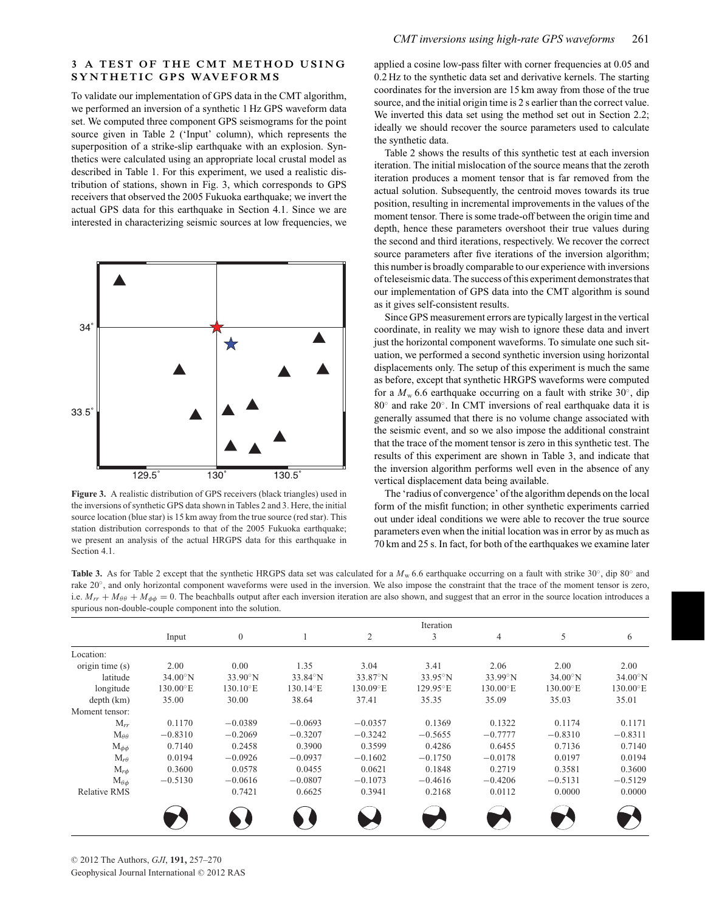# **3 A TEST OF THE CMT METHOD USING SYNTHETIC GPS WAVEFORMS**

To validate our implementation of GPS data in the CMT algorithm, we performed an inversion of a synthetic 1 Hz GPS waveform data set. We computed three component GPS seismograms for the point source given in Table 2 ('Input' column), which represents the superposition of a strike-slip earthquake with an explosion. Synthetics were calculated using an appropriate local crustal model as described in Table 1. For this experiment, we used a realistic distribution of stations, shown in Fig. 3, which corresponds to GPS receivers that observed the 2005 Fukuoka earthquake; we invert the actual GPS data for this earthquake in Section 4.1. Since we are interested in characterizing seismic sources at low frequencies, we



**Figure 3.** A realistic distribution of GPS receivers (black triangles) used in the inversions of synthetic GPS data shown in Tables 2 and 3. Here, the initial source location (blue star) is 15 km away from the true source (red star). This station distribution corresponds to that of the 2005 Fukuoka earthquake; we present an analysis of the actual HRGPS data for this earthquake in Section 4.1.

applied a cosine low-pass filter with corner frequencies at 0.05 and 0.2 Hz to the synthetic data set and derivative kernels. The starting coordinates for the inversion are 15 km away from those of the true source, and the initial origin time is 2 s earlier than the correct value. We inverted this data set using the method set out in Section 2.2; ideally we should recover the source parameters used to calculate the synthetic data.

Table 2 shows the results of this synthetic test at each inversion iteration. The initial mislocation of the source means that the zeroth iteration produces a moment tensor that is far removed from the actual solution. Subsequently, the centroid moves towards its true position, resulting in incremental improvements in the values of the moment tensor. There is some trade-off between the origin time and depth, hence these parameters overshoot their true values during the second and third iterations, respectively. We recover the correct source parameters after five iterations of the inversion algorithm; this number is broadly comparable to our experience with inversions of teleseismic data. The success of this experiment demonstrates that our implementation of GPS data into the CMT algorithm is sound as it gives self-consistent results.

Since GPS measurement errors are typically largest in the vertical coordinate, in reality we may wish to ignore these data and invert just the horizontal component waveforms. To simulate one such situation, we performed a second synthetic inversion using horizontal displacements only. The setup of this experiment is much the same as before, except that synthetic HRGPS waveforms were computed for a  $M_w$  6.6 earthquake occurring on a fault with strike 30<sup>°</sup>, dip 80◦ and rake 20◦. In CMT inversions of real earthquake data it is generally assumed that there is no volume change associated with the seismic event, and so we also impose the additional constraint that the trace of the moment tensor is zero in this synthetic test. The results of this experiment are shown in Table 3, and indicate that the inversion algorithm performs well even in the absence of any vertical displacement data being available.

The 'radius of convergence' of the algorithm depends on the local form of the misfit function; in other synthetic experiments carried out under ideal conditions we were able to recover the true source parameters even when the initial location was in error by as much as 70 km and 25 s. In fact, for both of the earthquakes we examine later

Table 3. As for Table 2 except that the synthetic HRGPS data set was calculated for a *M<sub>w</sub>* 6.6 earthquake occurring on a fault with strike 30°, dip 80° and rake 20◦, and only horizontal component waveforms were used in the inversion. We also impose the constraint that the trace of the moment tensor is zero, i.e.  $M_{rr} + M_{\theta\theta} + M_{\phi\phi} = 0$ . The beachballs output after each inversion iteration are also shown, and suggest that an error in the source location introduces a spurious non-double-couple component into the solution.

|                     |                 |                    |                 |                | Iteration       |                |                    |                    |
|---------------------|-----------------|--------------------|-----------------|----------------|-----------------|----------------|--------------------|--------------------|
|                     | Input           | $\boldsymbol{0}$   | 1               | $\overline{2}$ | 3               | $\overline{4}$ | 5                  | 6                  |
| Location:           |                 |                    |                 |                |                 |                |                    |                    |
| origin time $(s)$   | 2.00            | 0.00               | 1.35            | 3.04           | 3.41            | 2.06           | 2.00               | 2.00               |
| latitude            | $34.00^\circ$ N | $33.90^\circ$ N    | $33.84^\circ$ N | 33.87°N        | $33.95^\circ$ N | 33.99°N        | $34.00^\circ$ N    | $34.00^\circ$ N    |
| longitude           | 130.00°E        | $130.10^{\circ}$ E | 130.14°E        | 130.09°E       | 129.95°E        | 130.00°E       | $130.00^{\circ}$ E | $130.00^{\circ}$ E |
| depth(km)           | 35.00           | 30.00              | 38.64           | 37.41          | 35.35           | 35.09          | 35.03              | 35.01              |
| Moment tensor:      |                 |                    |                 |                |                 |                |                    |                    |
| $M_{rr}$            | 0.1170          | $-0.0389$          | $-0.0693$       | $-0.0357$      | 0.1369          | 0.1322         | 0.1174             | 0.1171             |
| $M_{\theta\theta}$  | $-0.8310$       | $-0.2069$          | $-0.3207$       | $-0.3242$      | $-0.5655$       | $-0.7777$      | $-0.8310$          | $-0.8311$          |
| $M_{\phi\phi}$      | 0.7140          | 0.2458             | 0.3900          | 0.3599         | 0.4286          | 0.6455         | 0.7136             | 0.7140             |
| $M_{r\theta}$       | 0.0194          | $-0.0926$          | $-0.0937$       | $-0.1602$      | $-0.1750$       | $-0.0178$      | 0.0197             | 0.0194             |
| $M_{r\phi}$         | 0.3600          | 0.0578             | 0.0455          | 0.0621         | 0.1848          | 0.2719         | 0.3581             | 0.3600             |
| $M_{\theta\phi}$    | $-0.5130$       | $-0.0616$          | $-0.0807$       | $-0.1073$      | $-0.4616$       | $-0.4206$      | $-0.5131$          | $-0.5129$          |
| <b>Relative RMS</b> |                 | 0.7421             | 0.6625          | 0.3941         | 0.2168          | 0.0112         | 0.0000             | 0.0000             |
|                     |                 |                    |                 |                |                 |                |                    |                    |
|                     |                 |                    |                 |                |                 |                |                    |                    |

© 2012 The Authors, *GJI*, **191**, 257–270 Geophysical Journal International © 2012 RAS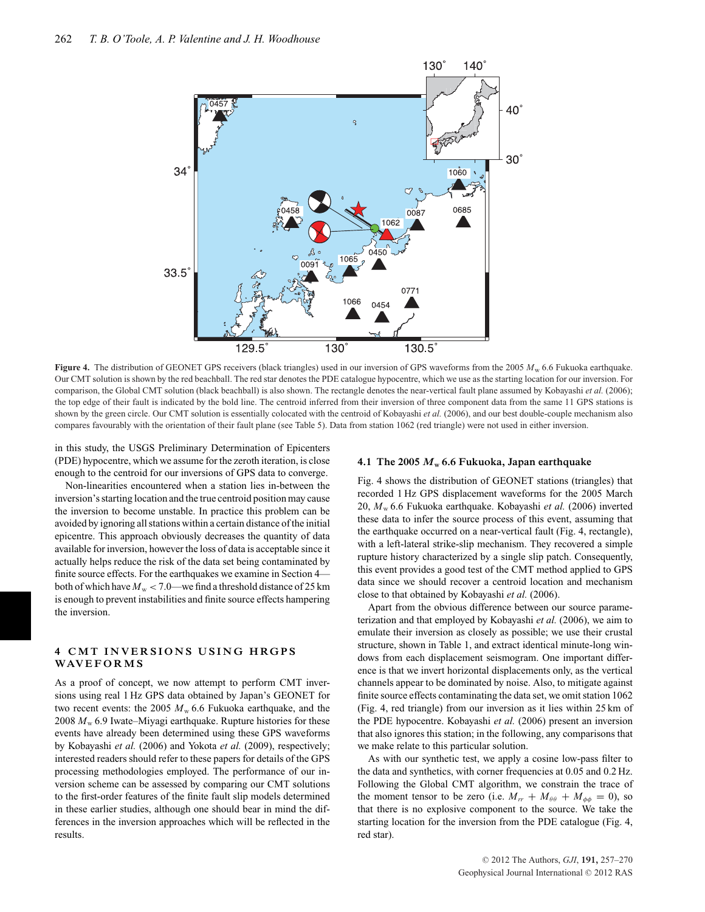

**Figure 4.** The distribution of GEONET GPS receivers (black triangles) used in our inversion of GPS waveforms from the 2005  $M<sub>w</sub>$  6.6 Fukuoka earthquake. Our CMT solution is shown by the red beachball. The red star denotes the PDE catalogue hypocentre, which we use as the starting location for our inversion. For comparison, the Global CMT solution (black beachball) is also shown. The rectangle denotes the near-vertical fault plane assumed by Kobayashi *et al.* (2006); the top edge of their fault is indicated by the bold line. The centroid inferred from their inversion of three component data from the same 11 GPS stations is shown by the green circle. Our CMT solution is essentially colocated with the centroid of Kobayashi *et al.* (2006), and our best double-couple mechanism also compares favourably with the orientation of their fault plane (see Table 5). Data from station 1062 (red triangle) were not used in either inversion.

in this study, the USGS Preliminary Determination of Epicenters (PDE) hypocentre, which we assume for the zeroth iteration, is close enough to the centroid for our inversions of GPS data to converge.

Non-linearities encountered when a station lies in-between the inversion's starting location and the true centroid position may cause the inversion to become unstable. In practice this problem can be avoided by ignoring all stations within a certain distance of the initial epicentre. This approach obviously decreases the quantity of data available for inversion, however the loss of data is acceptable since it actually helps reduce the risk of the data set being contaminated by finite source effects. For the earthquakes we examine in Section 4 both of which have  $M_{\rm w}$  < 7.0—we find a threshold distance of 25 km is enough to prevent instabilities and finite source effects hampering the inversion.

# **4 CMT INVERSIONS USING HRGPS WAV E F O RM S**

As a proof of concept, we now attempt to perform CMT inversions using real 1 Hz GPS data obtained by Japan's GEONET for two recent events: the 2005  $M_{\rm w}$  6.6 Fukuoka earthquake, and the 2008  $M_{\rm w}$  6.9 Iwate–Miyagi earthquake. Rupture histories for these events have already been determined using these GPS waveforms by Kobayashi *et al.* (2006) and Yokota *et al.* (2009), respectively; interested readers should refer to these papers for details of the GPS processing methodologies employed. The performance of our inversion scheme can be assessed by comparing our CMT solutions to the first-order features of the finite fault slip models determined in these earlier studies, although one should bear in mind the differences in the inversion approaches which will be reflected in the results.

#### **4.1 The 2005** *M***<sup>w</sup> 6.6 Fukuoka, Japan earthquake**

Fig. 4 shows the distribution of GEONET stations (triangles) that recorded 1 Hz GPS displacement waveforms for the 2005 March 20, *M*<sup>w</sup> 6.6 Fukuoka earthquake. Kobayashi *et al.* (2006) inverted these data to infer the source process of this event, assuming that the earthquake occurred on a near-vertical fault (Fig. 4, rectangle), with a left-lateral strike-slip mechanism. They recovered a simple rupture history characterized by a single slip patch. Consequently, this event provides a good test of the CMT method applied to GPS data since we should recover a centroid location and mechanism close to that obtained by Kobayashi *et al.* (2006).

Apart from the obvious difference between our source parameterization and that employed by Kobayashi *et al.* (2006), we aim to emulate their inversion as closely as possible; we use their crustal structure, shown in Table 1, and extract identical minute-long windows from each displacement seismogram. One important difference is that we invert horizontal displacements only, as the vertical channels appear to be dominated by noise. Also, to mitigate against finite source effects contaminating the data set, we omit station 1062 (Fig. 4, red triangle) from our inversion as it lies within 25 km of the PDE hypocentre. Kobayashi *et al.* (2006) present an inversion that also ignores this station; in the following, any comparisons that we make relate to this particular solution.

As with our synthetic test, we apply a cosine low-pass filter to the data and synthetics, with corner frequencies at 0.05 and 0.2 Hz. Following the Global CMT algorithm, we constrain the trace of the moment tensor to be zero (i.e.  $M_{rr} + M_{\theta\theta} + M_{\phi\phi} = 0$ ), so that there is no explosive component to the source. We take the starting location for the inversion from the PDE catalogue (Fig. 4, red star).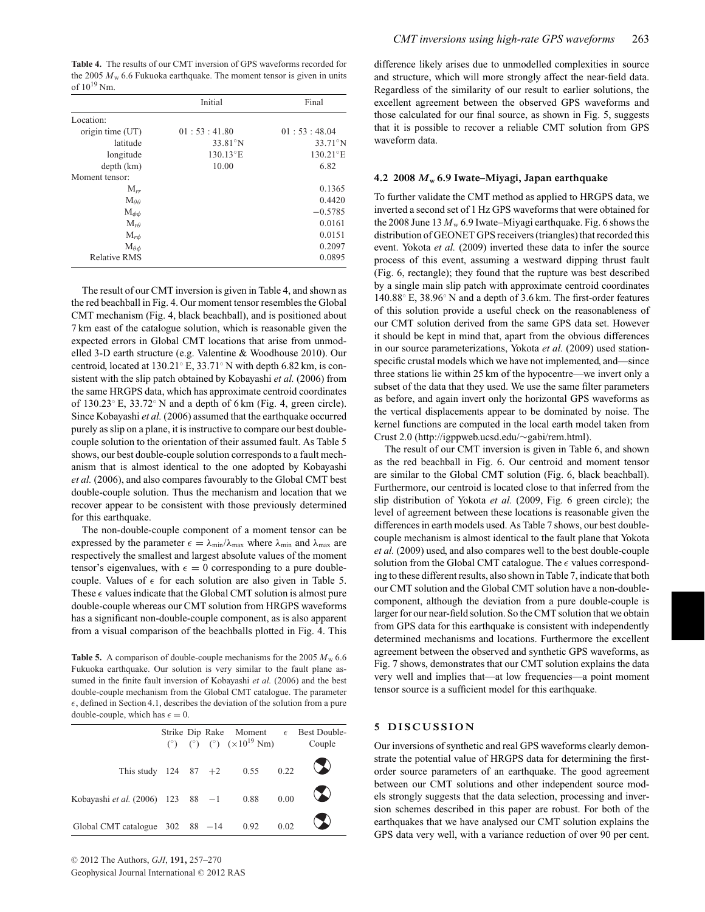**Table 4.** The results of our CMT inversion of GPS waveforms recorded for the 2005  $M_w$  6.6 Fukuoka earthquake. The moment tensor is given in units of  $10^{19}$  Nm.

|                     | Initial           | Final             |
|---------------------|-------------------|-------------------|
| Location:           |                   |                   |
| origin time (UT)    | 01:53:41.80       | 01:53:48.04       |
| latitude            | $33.81^{\circ}N$  | $33.71^{\circ}N$  |
| longitude           | $130.13^{\circ}E$ | $130.21^{\circ}E$ |
| depth(km)           | 10.00             | 6.82              |
| Moment tensor:      |                   |                   |
| $M_{rr}$            |                   | 0.1365            |
| $M_{\theta\theta}$  |                   | 0.4420            |
| $M_{\phi\phi}$      |                   | $-0.5785$         |
| $M_{r\theta}$       |                   | 0.0161            |
| $M_{r\phi}$         |                   | 0.0151            |
| $M_{\theta\phi}$    |                   | 0.2097            |
| <b>Relative RMS</b> |                   | 0.0895            |

The result of our CMT inversion is given in Table 4, and shown as the red beachball in Fig. 4. Our moment tensor resembles the Global CMT mechanism (Fig. 4, black beachball), and is positioned about 7 km east of the catalogue solution, which is reasonable given the expected errors in Global CMT locations that arise from unmodelled 3-D earth structure (e.g. Valentine & Woodhouse 2010). Our centroid, located at 130.21◦ E, 33.71◦ N with depth 6.82 km, is consistent with the slip patch obtained by Kobayashi *et al.* (2006) from the same HRGPS data, which has approximate centroid coordinates of 130.23◦ E, 33.72◦ N and a depth of 6 km (Fig. 4, green circle). Since Kobayashi *et al.* (2006) assumed that the earthquake occurred purely as slip on a plane, it is instructive to compare our best doublecouple solution to the orientation of their assumed fault. As Table 5 shows, our best double-couple solution corresponds to a fault mechanism that is almost identical to the one adopted by Kobayashi *et al.* (2006), and also compares favourably to the Global CMT best double-couple solution. Thus the mechanism and location that we recover appear to be consistent with those previously determined for this earthquake.

The non-double-couple component of a moment tensor can be expressed by the parameter  $\epsilon = \lambda_{\min}/\lambda_{\max}$  where  $\lambda_{\min}$  and  $\lambda_{\max}$  are respectively the smallest and largest absolute values of the moment tensor's eigenvalues, with  $\epsilon = 0$  corresponding to a pure doublecouple. Values of  $\epsilon$  for each solution are also given in Table 5. These  $\epsilon$  values indicate that the Global CMT solution is almost pure double-couple whereas our CMT solution from HRGPS waveforms has a significant non-double-couple component, as is also apparent from a visual comparison of the beachballs plotted in Fig. 4. This

**Table 5.** A comparison of double-couple mechanisms for the 2005  $M_{\text{w}}$  6.6 Fukuoka earthquake. Our solution is very similar to the fault plane assumed in the finite fault inversion of Kobayashi *et al.* (2006) and the best double-couple mechanism from the Global CMT catalogue. The parameter  $\epsilon$ , defined in Section 4.1, describes the deviation of the solution from a pure double-couple, which has  $\epsilon = 0$ .

|                                                          |  | $(°)$ $(°)$ $(°)$ $(\times 10^{19} \text{ Nm})$ |      | Strike Dip Rake Moment $\epsilon$ Best Double- |
|----------------------------------------------------------|--|-------------------------------------------------|------|------------------------------------------------|
|                                                          |  |                                                 |      | Couple                                         |
|                                                          |  | This study 124 87 +2 0.55 0.22 $\bigodot$       |      |                                                |
| Kobayashi et al. (2006) 123 88 $-1$ 0.88                 |  |                                                 |      | $_{0.00}$ $\bullet$                            |
| Global CMT catalogue $302 \quad 88 \quad -14 \quad 0.92$ |  |                                                 | 0.02 |                                                |

difference likely arises due to unmodelled complexities in source and structure, which will more strongly affect the near-field data. Regardless of the similarity of our result to earlier solutions, the excellent agreement between the observed GPS waveforms and those calculated for our final source, as shown in Fig. 5, suggests that it is possible to recover a reliable CMT solution from GPS waveform data.

#### **4.2 2008** *M***<sup>w</sup> 6.9 Iwate–Miyagi, Japan earthquake**

To further validate the CMT method as applied to HRGPS data, we inverted a second set of 1 Hz GPS waveforms that were obtained for the 2008 June 13  $M_{\rm w}$  6.9 Iwate–Miyagi earthquake. Fig. 6 shows the distribution of GEONET GPS receivers (triangles) that recorded this event. Yokota *et al.* (2009) inverted these data to infer the source process of this event, assuming a westward dipping thrust fault (Fig. 6, rectangle); they found that the rupture was best described by a single main slip patch with approximate centroid coordinates 140.88◦ E, 38.96◦ N and a depth of 3.6 km. The first-order features of this solution provide a useful check on the reasonableness of our CMT solution derived from the same GPS data set. However it should be kept in mind that, apart from the obvious differences in our source parameterizations, Yokota *et al.* (2009) used stationspecific crustal models which we have not implemented, and—since three stations lie within 25 km of the hypocentre—we invert only a subset of the data that they used. We use the same filter parameters as before, and again invert only the horizontal GPS waveforms as the vertical displacements appear to be dominated by noise. The kernel functions are computed in the local earth model taken from Crust 2.0 (http://igppweb.ucsd.edu/∼gabi/rem.html).

The result of our CMT inversion is given in Table 6, and shown as the red beachball in Fig. 6. Our centroid and moment tensor are similar to the Global CMT solution (Fig. 6, black beachball). Furthermore, our centroid is located close to that inferred from the slip distribution of Yokota *et al.* (2009, Fig. 6 green circle); the level of agreement between these locations is reasonable given the differences in earth models used. As Table 7 shows, our best doublecouple mechanism is almost identical to the fault plane that Yokota *et al.* (2009) used, and also compares well to the best double-couple solution from the Global CMT catalogue. The  $\epsilon$  values corresponding to these different results, also shown in Table 7, indicate that both our CMT solution and the Global CMT solution have a non-doublecomponent, although the deviation from a pure double-couple is larger for our near-field solution. So the CMT solution that we obtain from GPS data for this earthquake is consistent with independently determined mechanisms and locations. Furthermore the excellent agreement between the observed and synthetic GPS waveforms, as Fig. 7 shows, demonstrates that our CMT solution explains the data very well and implies that—at low frequencies—a point moment tensor source is a sufficient model for this earthquake.

# **5 DISCUSSION**

Our inversions of synthetic and real GPS waveforms clearly demonstrate the potential value of HRGPS data for determining the firstorder source parameters of an earthquake. The good agreement between our CMT solutions and other independent source models strongly suggests that the data selection, processing and inversion schemes described in this paper are robust. For both of the earthquakes that we have analysed our CMT solution explains the GPS data very well, with a variance reduction of over 90 per cent.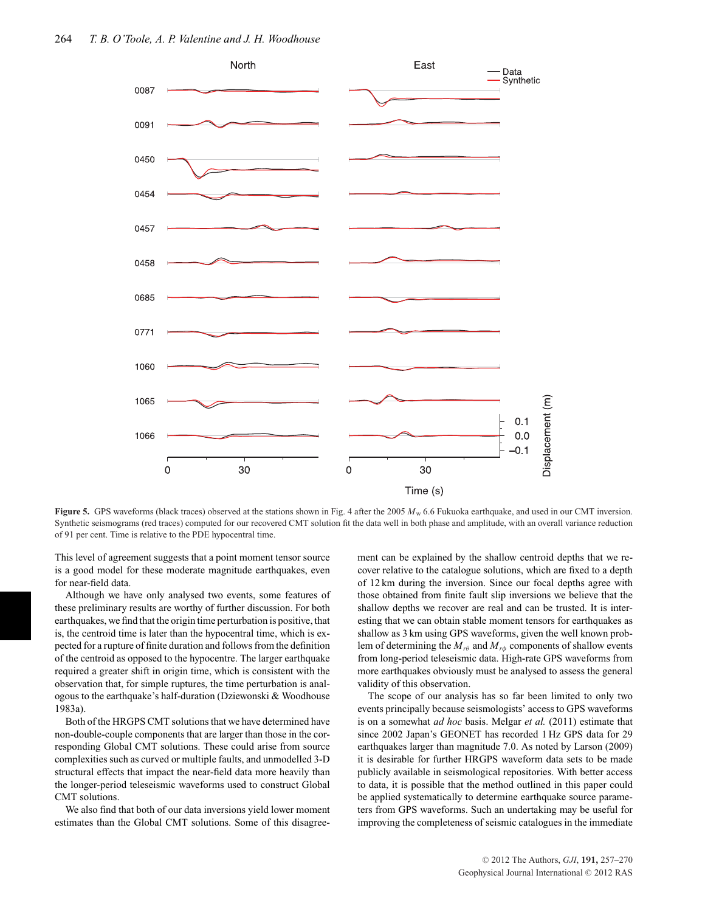

**Figure 5.** GPS waveforms (black traces) observed at the stations shown in Fig. 4 after the 2005  $M_w$  6.6 Fukuoka earthquake, and used in our CMT inversion. Synthetic seismograms (red traces) computed for our recovered CMT solution fit the data well in both phase and amplitude, with an overall variance reduction of 91 per cent. Time is relative to the PDE hypocentral time.

This level of agreement suggests that a point moment tensor source is a good model for these moderate magnitude earthquakes, even for near-field data.

Although we have only analysed two events, some features of these preliminary results are worthy of further discussion. For both earthquakes, we find that the origin time perturbation is positive, that is, the centroid time is later than the hypocentral time, which is expected for a rupture of finite duration and follows from the definition of the centroid as opposed to the hypocentre. The larger earthquake required a greater shift in origin time, which is consistent with the observation that, for simple ruptures, the time perturbation is analogous to the earthquake's half-duration (Dziewonski & Woodhouse 1983a).

Both of the HRGPS CMT solutions that we have determined have non-double-couple components that are larger than those in the corresponding Global CMT solutions. These could arise from source complexities such as curved or multiple faults, and unmodelled 3-D structural effects that impact the near-field data more heavily than the longer-period teleseismic waveforms used to construct Global CMT solutions.

We also find that both of our data inversions yield lower moment estimates than the Global CMT solutions. Some of this disagreement can be explained by the shallow centroid depths that we recover relative to the catalogue solutions, which are fixed to a depth of 12 km during the inversion. Since our focal depths agree with those obtained from finite fault slip inversions we believe that the shallow depths we recover are real and can be trusted. It is interesting that we can obtain stable moment tensors for earthquakes as shallow as 3 km using GPS waveforms, given the well known problem of determining the  $M_{r\theta}$  and  $M_{r\phi}$  components of shallow events from long-period teleseismic data. High-rate GPS waveforms from more earthquakes obviously must be analysed to assess the general validity of this observation.

The scope of our analysis has so far been limited to only two events principally because seismologists' access to GPS waveforms is on a somewhat *ad hoc* basis. Melgar *et al.* (2011) estimate that since 2002 Japan's GEONET has recorded 1 Hz GPS data for 29 earthquakes larger than magnitude 7.0. As noted by Larson (2009) it is desirable for further HRGPS waveform data sets to be made publicly available in seismological repositories. With better access to data, it is possible that the method outlined in this paper could be applied systematically to determine earthquake source parameters from GPS waveforms. Such an undertaking may be useful for improving the completeness of seismic catalogues in the immediate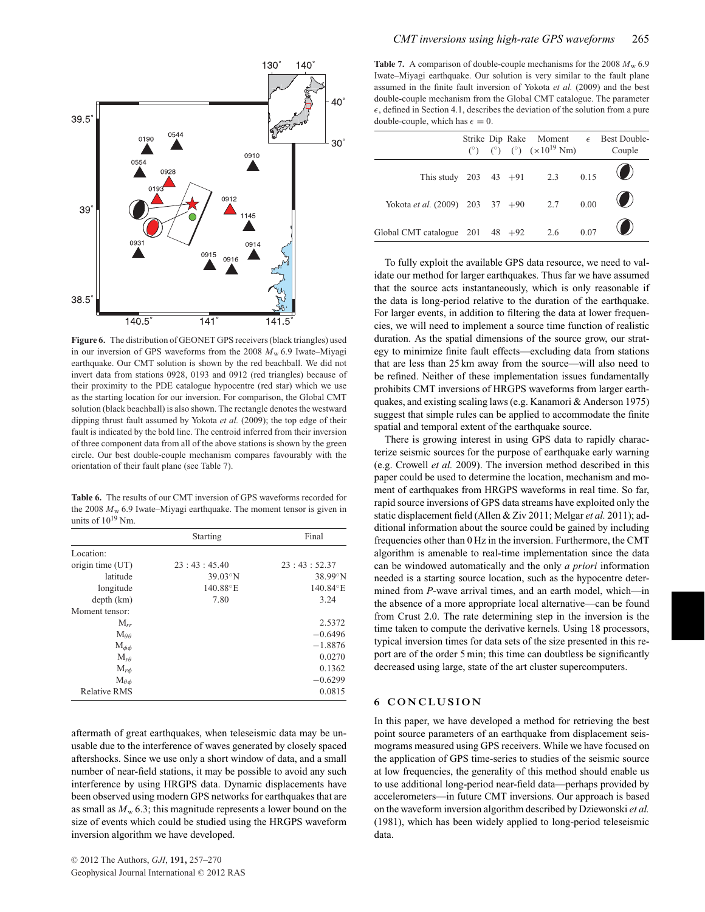

**Figure 6.** The distribution of GEONET GPS receivers (black triangles) used in our inversion of GPS waveforms from the 2008  $M<sub>w</sub>$  6.9 Iwate–Miyagi earthquake. Our CMT solution is shown by the red beachball. We did not invert data from stations 0928, 0193 and 0912 (red triangles) because of their proximity to the PDE catalogue hypocentre (red star) which we use as the starting location for our inversion. For comparison, the Global CMT solution (black beachball) is also shown. The rectangle denotes the westward dipping thrust fault assumed by Yokota *et al.* (2009); the top edge of their fault is indicated by the bold line. The centroid inferred from their inversion of three component data from all of the above stations is shown by the green circle. Our best double-couple mechanism compares favourably with the orientation of their fault plane (see Table 7).

**Table 6.** The results of our CMT inversion of GPS waveforms recorded for the 2008 *M*<sup>w</sup> 6.9 Iwate–Miyagi earthquake. The moment tensor is given in units of  $10^{19}$  Nm.

|                     | Starting          | Final           |
|---------------------|-------------------|-----------------|
| Location:           |                   |                 |
| origin time (UT)    | 23:43:45.40       | 23:43:52.37     |
| latitude            | $39.03^{\circ}$ N | $38.99^\circ$ N |
| longitude           | 140.88°E          | 140.84°E        |
| depth(km)           | 7.80              | 3.24            |
| Moment tensor:      |                   |                 |
| $M_{rr}$            |                   | 2.5372          |
| $M_{\theta\theta}$  |                   | $-0.6496$       |
| $M_{\phi\phi}$      |                   | $-1.8876$       |
| $M_{r\theta}$       |                   | 0.0270          |
| $M_{rd}$            |                   | 0.1362          |
| $M_{\theta\phi}$    |                   | $-0.6299$       |
| <b>Relative RMS</b> |                   | 0.0815          |

aftermath of great earthquakes, when teleseismic data may be unusable due to the interference of waves generated by closely spaced aftershocks. Since we use only a short window of data, and a small number of near-field stations, it may be possible to avoid any such interference by using HRGPS data. Dynamic displacements have been observed using modern GPS networks for earthquakes that are as small as  $M_w$  6.3; this magnitude represents a lower bound on the size of events which could be studied using the HRGPS waveform inversion algorithm we have developed.

**Table 7.** A comparison of double-couple mechanisms for the 2008  $M_w$  6.9 Iwate–Miyagi earthquake. Our solution is very similar to the fault plane assumed in the finite fault inversion of Yokota *et al.* (2009) and the best double-couple mechanism from the Global CMT catalogue. The parameter  $\epsilon$ , defined in Section 4.1, describes the deviation of the solution from a pure double-couple, which has  $\epsilon = 0$ .

|                                                   |  | $(°)$ $(°)$ $(°)$ $(\times 10^{19} \text{ Nm})$ |      | Strike Dip Rake Moment $\epsilon$ Best Double-<br>Couple |
|---------------------------------------------------|--|-------------------------------------------------|------|----------------------------------------------------------|
|                                                   |  | This study 203 43 +91 2.3 0.15                  |      |                                                          |
| Yokota et al. (2009) 203 37 +90 2.7               |  |                                                 | 0.00 |                                                          |
| Global CMT catalogue $201 \quad 48 +92 \quad 2.6$ |  |                                                 | 0.07 |                                                          |

To fully exploit the available GPS data resource, we need to validate our method for larger earthquakes. Thus far we have assumed that the source acts instantaneously, which is only reasonable if the data is long-period relative to the duration of the earthquake. For larger events, in addition to filtering the data at lower frequencies, we will need to implement a source time function of realistic duration. As the spatial dimensions of the source grow, our strategy to minimize finite fault effects—excluding data from stations that are less than 25 km away from the source—will also need to be refined. Neither of these implementation issues fundamentally prohibits CMT inversions of HRGPS waveforms from larger earthquakes, and existing scaling laws (e.g. Kanamori & Anderson 1975) suggest that simple rules can be applied to accommodate the finite spatial and temporal extent of the earthquake source.

There is growing interest in using GPS data to rapidly characterize seismic sources for the purpose of earthquake early warning (e.g. Crowell *et al.* 2009). The inversion method described in this paper could be used to determine the location, mechanism and moment of earthquakes from HRGPS waveforms in real time. So far, rapid source inversions of GPS data streams have exploited only the static displacement field (Allen & Ziv 2011; Melgar *et al.* 2011); additional information about the source could be gained by including frequencies other than 0 Hz in the inversion. Furthermore, the CMT algorithm is amenable to real-time implementation since the data can be windowed automatically and the only *a priori* information needed is a starting source location, such as the hypocentre determined from *P*-wave arrival times, and an earth model, which—in the absence of a more appropriate local alternative—can be found from Crust 2.0. The rate determining step in the inversion is the time taken to compute the derivative kernels. Using 18 processors, typical inversion times for data sets of the size presented in this report are of the order 5 min; this time can doubtless be significantly decreased using large, state of the art cluster supercomputers.

## **6 CONCLUSION**

In this paper, we have developed a method for retrieving the best point source parameters of an earthquake from displacement seismograms measured using GPS receivers. While we have focused on the application of GPS time-series to studies of the seismic source at low frequencies, the generality of this method should enable us to use additional long-period near-field data—perhaps provided by accelerometers—in future CMT inversions. Our approach is based on the waveform inversion algorithm described by Dziewonski *et al.* (1981), which has been widely applied to long-period teleseismic data.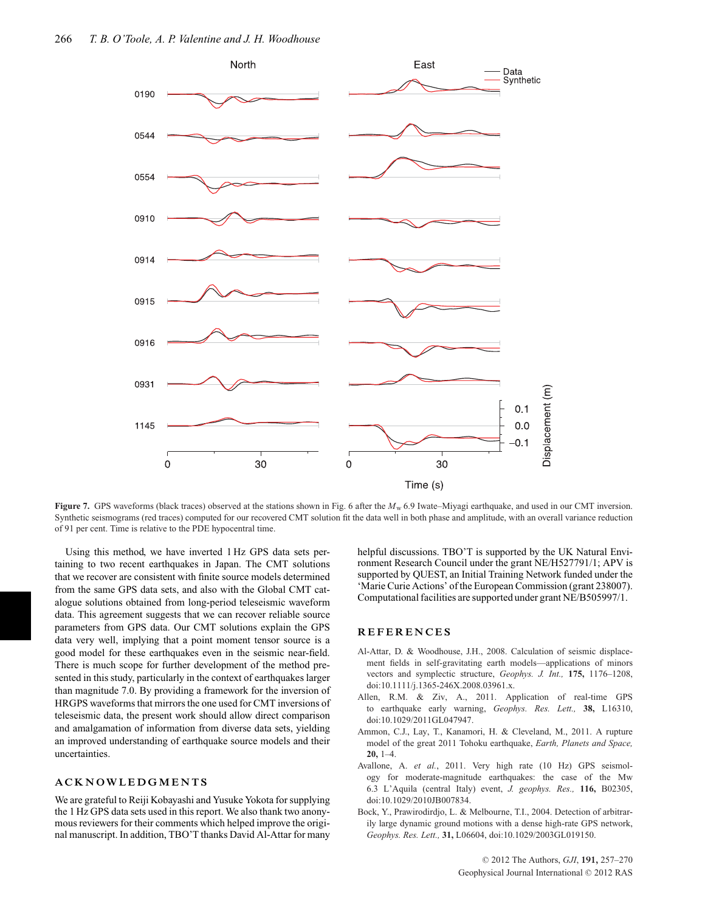

**Figure 7.** GPS waveforms (black traces) observed at the stations shown in Fig. 6 after the  $M_w$  6.9 Iwate–Miyagi earthquake, and used in our CMT inversion. Synthetic seismograms (red traces) computed for our recovered CMT solution fit the data well in both phase and amplitude, with an overall variance reduction of 91 per cent. Time is relative to the PDE hypocentral time.

Using this method, we have inverted 1 Hz GPS data sets pertaining to two recent earthquakes in Japan. The CMT solutions that we recover are consistent with finite source models determined from the same GPS data sets, and also with the Global CMT catalogue solutions obtained from long-period teleseismic waveform data. This agreement suggests that we can recover reliable source parameters from GPS data. Our CMT solutions explain the GPS data very well, implying that a point moment tensor source is a good model for these earthquakes even in the seismic near-field. There is much scope for further development of the method presented in this study, particularly in the context of earthquakes larger than magnitude 7.0. By providing a framework for the inversion of HRGPS waveforms that mirrors the one used for CMT inversions of teleseismic data, the present work should allow direct comparison and amalgamation of information from diverse data sets, yielding an improved understanding of earthquake source models and their uncertainties.

#### **ACKNOWLEDGMENTS**

We are grateful to Reiji Kobayashi and Yusuke Yokota for supplying the 1 Hz GPS data sets used in this report. We also thank two anonymous reviewers for their comments which helped improve the original manuscript. In addition, TBO'T thanks David Al-Attar for many

helpful discussions. TBO'T is supported by the UK Natural Environment Research Council under the grant NE/H527791/1; APV is supported by QUEST, an Initial Training Network funded under the 'Marie Curie Actions' of the European Commission (grant 238007). Computational facilities are supported under grant NE/B505997/1.

#### **REFERENCES**

- Al-Attar, D. & Woodhouse, J.H., 2008. Calculation of seismic displacement fields in self-gravitating earth models—applications of minors vectors and symplectic structure, *Geophys. J. Int.,* **175,** 1176–1208, doi:10.1111/j.1365-246X.2008.03961.x.
- Allen, R.M. & Ziv, A., 2011. Application of real-time GPS to earthquake early warning, *Geophys. Res. Lett.,* **38,** L16310, doi:10.1029/2011GL047947.
- Ammon, C.J., Lay, T., Kanamori, H. & Cleveland, M., 2011. A rupture model of the great 2011 Tohoku earthquake, *Earth, Planets and Space,* **20,** 1–4.
- Avallone, A. *et al.*, 2011. Very high rate (10 Hz) GPS seismology for moderate-magnitude earthquakes: the case of the Mw 6.3 L'Aquila (central Italy) event, *J. geophys. Res.,* **116,** B02305, doi:10.1029/2010JB007834.
- Bock, Y., Prawirodirdjo, L. & Melbourne, T.I., 2004. Detection of arbitrarily large dynamic ground motions with a dense high-rate GPS network, *Geophys. Res. Lett.,* **31,** L06604, doi:10.1029/2003GL019150.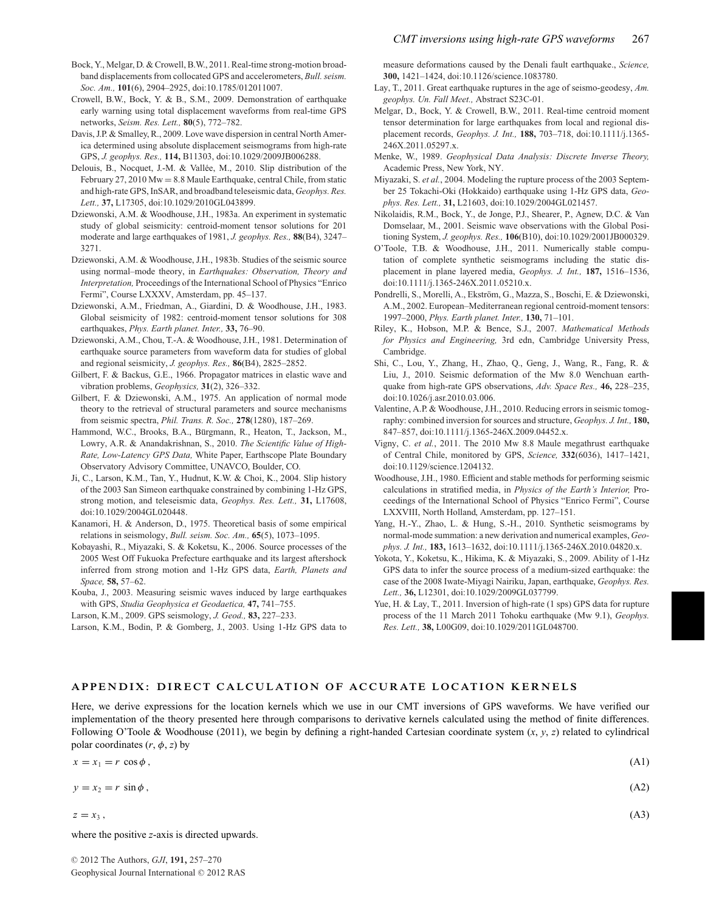- Bock, Y., Melgar, D. & Crowell, B.W., 2011. Real-time strong-motion broadband displacements from collocated GPS and accelerometers, *Bull. seism. Soc. Am.,* **101**(6), 2904–2925, doi:10.1785/012011007.
- Crowell, B.W., Bock, Y. & B., S.M., 2009. Demonstration of earthquake early warning using total displacement waveforms from real-time GPS networks, *Seism. Res. Lett.,* **80**(5), 772–782.
- Davis, J.P. & Smalley, R., 2009. Love wave dispersion in central North America determined using absolute displacement seismograms from high-rate GPS, *J. geophys. Res.,* **114,** B11303, doi:10.1029/2009JB006288.
- Delouis, B., Nocquet, J.-M. & Vallée, M., 2010. Slip distribution of the February 27, 2010 Mw =  $8.8$  Maule Earthquake, central Chile, from static and high-rate GPS, InSAR, and broadband teleseismic data, *Geophys. Res. Lett.,* **37,** L17305, doi:10.1029/2010GL043899.
- Dziewonski, A.M. & Woodhouse, J.H., 1983a. An experiment in systematic study of global seismicity: centroid-moment tensor solutions for 201 moderate and large earthquakes of 1981, *J. geophys. Res.,* **88**(B4), 3247– 3271.
- Dziewonski, A.M. & Woodhouse, J.H., 1983b. Studies of the seismic source using normal–mode theory, in *Earthquakes: Observation, Theory and Interpretation,* Proceedings of the International School of Physics "Enrico Fermi", Course LXXXV, Amsterdam, pp. 45–137.
- Dziewonski, A.M., Friedman, A., Giardini, D. & Woodhouse, J.H., 1983. Global seismicity of 1982: centroid-moment tensor solutions for 308 earthquakes, *Phys. Earth planet. Inter.,* **33,** 76–90.
- Dziewonski, A.M., Chou, T.-A. & Woodhouse, J.H., 1981. Determination of earthquake source parameters from waveform data for studies of global and regional seismicity, *J. geophys. Res.,* **86**(B4), 2825–2852.
- Gilbert, F. & Backus, G.E., 1966. Propagator matrices in elastic wave and vibration problems, *Geophysics,* **31**(2), 326–332.
- Gilbert, F. & Dziewonski, A.M., 1975. An application of normal mode theory to the retrieval of structural parameters and source mechanisms from seismic spectra, *Phil. Trans. R. Soc.,* **278**(1280), 187–269.
- Hammond, W.C., Brooks, B.A., Bürgmann, R., Heaton, T., Jackson, M., Lowry, A.R. & Anandakrishnan, S., 2010. *The Scientific Value of High-Rate, Low-Latency GPS Data,* White Paper, Earthscope Plate Boundary Observatory Advisory Committee, UNAVCO, Boulder, CO.
- Ji, C., Larson, K.M., Tan, Y., Hudnut, K.W. & Choi, K., 2004. Slip history of the 2003 San Simeon earthquake constrained by combining 1-Hz GPS, strong motion, and teleseismic data, *Geophys. Res. Lett.,* **31,** L17608, doi:10.1029/2004GL020448.
- Kanamori, H. & Anderson, D., 1975. Theoretical basis of some empirical relations in seismology, *Bull. seism. Soc. Am.,* **65**(5), 1073–1095.
- Kobayashi, R., Miyazaki, S. & Koketsu, K., 2006. Source processes of the 2005 West Off Fukuoka Prefecture earthquake and its largest aftershock inferred from strong motion and 1-Hz GPS data, *Earth, Planets and Space,* **58,** 57–62.
- Kouba, J., 2003. Measuring seismic waves induced by large earthquakes with GPS, *Studia Geophysica et Geodaetica,* **47,** 741–755.
- Larson, K.M., 2009. GPS seismology, *J. Geod.,* **83,** 227–233.
- Larson, K.M., Bodin, P. & Gomberg, J., 2003. Using 1-Hz GPS data to

measure deformations caused by the Denali fault earthquake., *Science,* **300,** 1421–1424, doi:10.1126/science.1083780.

- Lay, T., 2011. Great earthquake ruptures in the age of seismo-geodesy, *Am. geophys. Un. Fall Meet.,* Abstract S23C-01.
- Melgar, D., Bock, Y. & Crowell, B.W., 2011. Real-time centroid moment tensor determination for large earthquakes from local and regional displacement records, *Geophys. J. Int.,* **188,** 703–718, doi:10.1111/j.1365- 246X.2011.05297.x.
- Menke, W., 1989. *Geophysical Data Analysis: Discrete Inverse Theory,* Academic Press, New York, NY.
- Miyazaki, S. *et al.*, 2004. Modeling the rupture process of the 2003 September 25 Tokachi-Oki (Hokkaido) earthquake using 1-Hz GPS data, *Geophys. Res. Lett.,* **31,** L21603, doi:10.1029/2004GL021457.
- Nikolaidis, R.M., Bock, Y., de Jonge, P.J., Shearer, P., Agnew, D.C. & Van Domselaar, M., 2001. Seismic wave observations with the Global Positioning System, *J. geophys. Res.,* **106**(B10), doi:10.1029/2001JB000329.
- O'Toole, T.B. & Woodhouse, J.H., 2011. Numerically stable computation of complete synthetic seismograms including the static displacement in plane layered media, *Geophys. J. Int.,* **187,** 1516–1536, doi:10.1111/j.1365-246X.2011.05210.x.
- Pondrelli, S., Morelli, A., Ekström, G., Mazza, S., Boschi, E. & Dziewonski, A.M., 2002. European–Mediterranean regional centroid-moment tensors: 1997–2000, *Phys. Earth planet. Inter.,* **130,** 71–101.
- Riley, K., Hobson, M.P. & Bence, S.J., 2007. *Mathematical Methods for Physics and Engineering,* 3rd edn, Cambridge University Press, Cambridge.
- Shi, C., Lou, Y., Zhang, H., Zhao, Q., Geng, J., Wang, R., Fang, R. & Liu, J., 2010. Seismic deformation of the Mw 8.0 Wenchuan earthquake from high-rate GPS observations, *Adv. Space Res.,* **46,** 228–235, doi:10.1026/j.asr.2010.03.006.
- Valentine, A.P. & Woodhouse, J.H., 2010. Reducing errors in seismic tomography: combined inversion for sources and structure, *Geophys. J. Int.,* **180,** 847–857, doi:10.1111/j.1365-246X.2009.04452.x.
- Vigny, C. *et al.*, 2011. The 2010 Mw 8.8 Maule megathrust earthquake of Central Chile, monitored by GPS, *Science,* **332**(6036), 1417–1421, doi:10.1129/science.1204132.
- Woodhouse, J.H., 1980. Efficient and stable methods for performing seismic calculations in stratified media, in *Physics of the Earth's Interior,* Proceedings of the International School of Physics "Enrico Fermi", Course LXXVIII, North Holland, Amsterdam, pp. 127–151.
- Yang, H.-Y., Zhao, L. & Hung, S.-H., 2010. Synthetic seismograms by normal-mode summation: a new derivation and numerical examples, *Geophys. J. Int.,* **183,** 1613–1632, doi:10.1111/j.1365-246X.2010.04820.x.
- Yokota, Y., Koketsu, K., Hikima, K. & Miyazaki, S., 2009. Ability of 1-Hz GPS data to infer the source process of a medium-sized earthquake: the case of the 2008 Iwate-Miyagi Nairiku, Japan, earthquake, *Geophys. Res. Lett.,* **36,** L12301, doi:10.1029/2009GL037799.
- Yue, H. & Lay, T., 2011. Inversion of high-rate (1 sps) GPS data for rupture process of the 11 March 2011 Tohoku earthquake (Mw 9.1), *Geophys. Res. Lett.,* **38,** L00G09, doi:10.1029/2011GL048700.

#### **APPENDIX: DIRECT CALCULATION OF ACCURATE LOCATION KERNELS**

Here, we derive expressions for the location kernels which we use in our CMT inversions of GPS waveforms. We have verified our implementation of the theory presented here through comparisons to derivative kernels calculated using the method of finite differences. Following O'Toole & Woodhouse (2011), we begin by defining a right-handed Cartesian coordinate system (*x*, *y*, *z*) related to cylindrical polar coordinates  $(r, \phi, z)$  by

| $x = x_1 = r \cos \phi$ , | (A1) |
|---------------------------|------|
| $y = x_2 = r \sin \phi$ , | (A2) |
| $z=x_3$ ,                 | (A3) |

where the positive *z*-axis is directed upwards.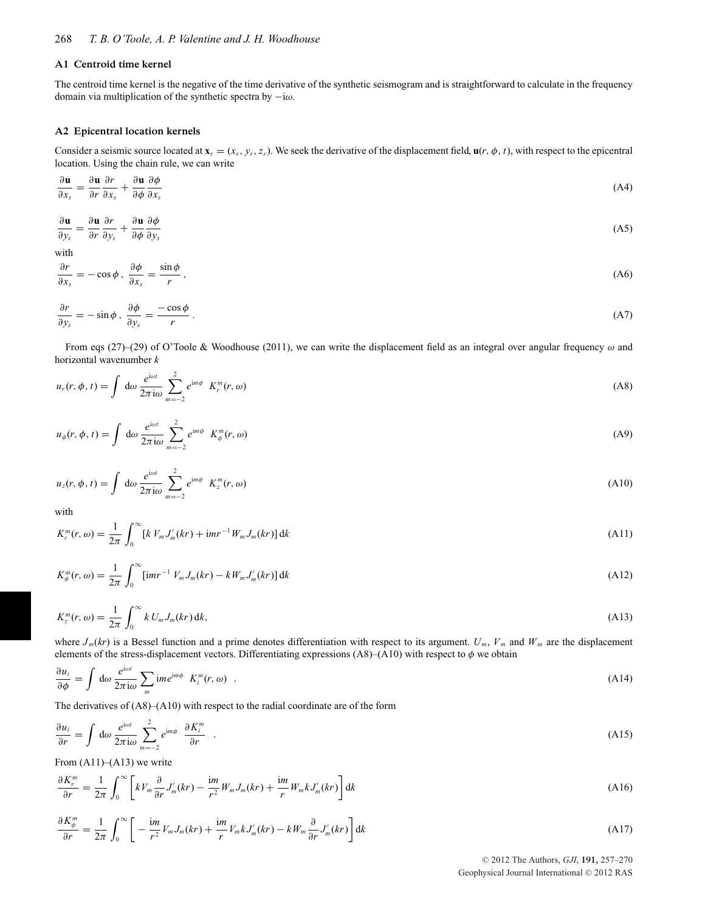# **A1 Centroid time kernel**

The centroid time kernel is the negative of the time derivative of the synthetic seismogram and is straightforward to calculate in the frequency domain via multiplication of the synthetic spectra by  $-i\omega$ .

# **A2 Epicentral location kernels**

Consider a seismic source located at  $\mathbf{x}_s = (x_s, y_s, z_s)$ . We seek the derivative of the displacement field,  $\mathbf{u}(r, \phi, t)$ , with respect to the epicentral location. Using the chain rule, we can write

$$
\frac{\partial \mathbf{u}}{\partial x_s} = \frac{\partial \mathbf{u}}{\partial r} \frac{\partial r}{\partial x_s} + \frac{\partial \mathbf{u}}{\partial \phi} \frac{\partial \phi}{\partial x_s} \tag{A4}
$$

$$
\frac{\partial \mathbf{u}}{\partial y_s} = \frac{\partial \mathbf{u}}{\partial r} \frac{\partial r}{\partial y_s} + \frac{\partial \mathbf{u}}{\partial \phi} \frac{\partial \phi}{\partial y_s} \tag{A5}
$$

with

$$
\frac{\partial r}{\partial x_s} = -\cos\phi \,, \,\frac{\partial\phi}{\partial x_s} = \frac{\sin\phi}{r} \,,\tag{A6}
$$

$$
\frac{\partial r}{\partial y_s} = -\sin\phi \,, \, \frac{\partial\phi}{\partial y_s} = \frac{-\cos\phi}{r} \,. \tag{A7}
$$

From eqs (27)–(29) of O'Toole & Woodhouse (2011), we can write the displacement field as an integral over angular frequency  $\omega$  and horizontal wavenumber *k*

$$
u_r(r,\phi,t) = \int d\omega \, \frac{e^{i\omega t}}{2\pi i \omega} \sum_{m=-2}^2 e^{im\phi} \, K_r^m(r,\omega) \tag{A8}
$$

$$
u_{\phi}(r,\phi,t) = \int \mathrm{d}\omega \, \frac{e^{i\omega t}}{2\pi i \omega} \sum_{m=-2}^{2} e^{im\phi} \, K_{\phi}^{m}(r,\omega) \tag{A9}
$$

$$
u_z(r,\phi,t) = \int d\omega \frac{e^{i\omega t}}{2\pi i \omega} \sum_{m=-2}^2 e^{im\phi} K_z^m(r,\omega)
$$
 (A10)

with

$$
K_r^m(r,\omega) = \frac{1}{2\pi} \int_0^\infty \left[ k V_m J'_m(kr) + imr^{-1} W_m J_m(kr) \right] dk \tag{A11}
$$

$$
K_{\phi}^{m}(r,\omega) = \frac{1}{2\pi} \int_{0}^{\infty} [imr^{-1} V_{m} J_{m}(kr) - kW_{m} J'_{m}(kr)] \, dk \tag{A12}
$$

$$
K_z^m(r,\omega) = \frac{1}{2\pi} \int_0^\infty k U_m J_m(kr) \, \mathrm{d}k,\tag{A13}
$$

where  $J_m(kr)$  is a Bessel function and a prime denotes differentiation with respect to its argument.  $U_m$ ,  $V_m$  and  $W_m$  are the displacement elements of the stress-displacement vectors. Differentiating expressions (A8)–(A10) with respect to  $\phi$  we obtain

$$
\frac{\partial u_i}{\partial \phi} = \int d\omega \, \frac{e^{i\omega t}}{2\pi i \omega} \sum_m \text{im} e^{i m\phi} \, K_i^m(r, \omega) \quad . \tag{A14}
$$

The derivatives of (A8)–(A10) with respect to the radial coordinate are of the form

$$
\frac{\partial u_i}{\partial r} = \int d\omega \frac{e^{i\omega t}}{2\pi i \omega} \sum_{m=-2}^{2} e^{im\phi} \frac{\partial K_i^m}{\partial r} \quad . \tag{A15}
$$

From  $(A11)$ – $(A13)$  we write

$$
\frac{\partial K_r^m}{\partial r} = \frac{1}{2\pi} \int_0^\infty \left[ k V_m \frac{\partial}{\partial r} J'_m(kr) - \frac{im}{r^2} W_m J_m(kr) + \frac{im}{r} W_m k J'_m(kr) \right] dk \tag{A16}
$$

$$
\frac{\partial K_{\phi}^{m}}{\partial r} = \frac{1}{2\pi} \int_{0}^{\infty} \left[ -\frac{im}{r^{2}} V_{m} J_{m}(kr) + \frac{im}{r} V_{m} k J'_{m}(kr) - k W_{m} \frac{\partial}{\partial r} J'_{m}(kr) \right] dk \tag{A17}
$$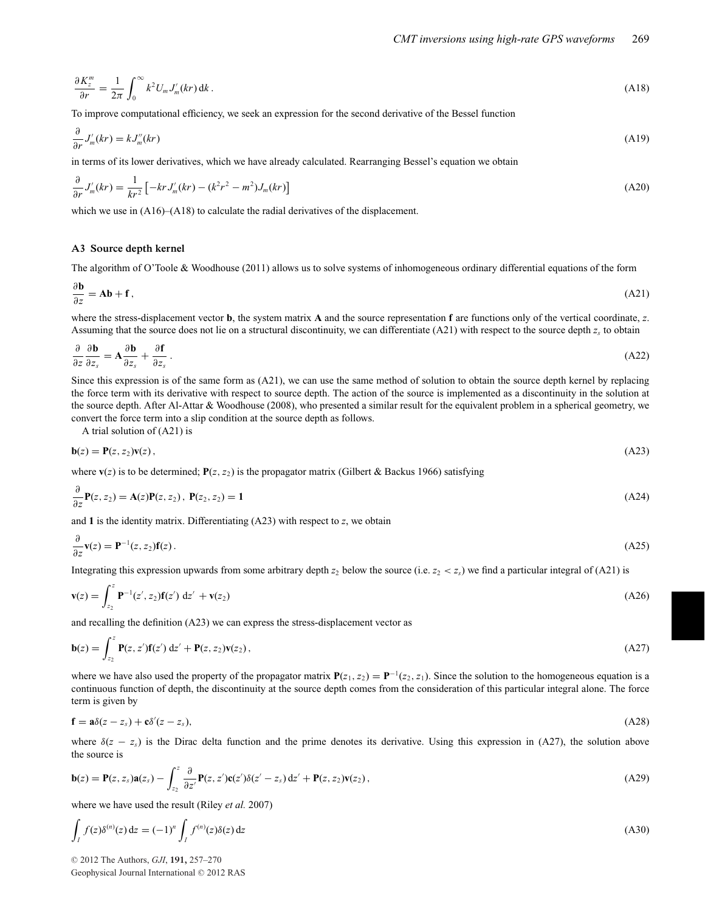$$
\frac{\partial K_z^m}{\partial r} = \frac{1}{2\pi} \int_0^\infty k^2 U_m J'_m(kr) \, \mathrm{d}k \,. \tag{A18}
$$

To improve computational efficiency, we seek an expression for the second derivative of the Bessel function

$$
\frac{\partial}{\partial r}J'_m(kr) = kJ''_m(kr) \tag{A19}
$$

in terms of its lower derivatives, which we have already calculated. Rearranging Bessel's equation we obtain

$$
\frac{\partial}{\partial r}J'_{m}(kr) = \frac{1}{kr^{2}} \left[ -kr J'_{m}(kr) - (k^{2}r^{2} - m^{2})J_{m}(kr) \right]
$$
\n(A20)

which we use in  $(A16)$ – $(A18)$  to calculate the radial derivatives of the displacement.

#### **A3 Source depth kernel**

The algorithm of O'Toole & Woodhouse (2011) allows us to solve systems of inhomogeneous ordinary differential equations of the form

$$
\frac{\partial \mathbf{b}}{\partial z} = \mathbf{A}\mathbf{b} + \mathbf{f},\tag{A21}
$$

where the stress-displacement vector **b**, the system matrix **A** and the source representation **f** are functions only of the vertical coordinate, *z*. Assuming that the source does not lie on a structural discontinuity, we can differentiate  $(A21)$  with respect to the source depth  $z<sub>s</sub>$  to obtain

$$
\frac{\partial}{\partial z}\frac{\partial \mathbf{b}}{\partial z_s} = \mathbf{A}\frac{\partial \mathbf{b}}{\partial z_s} + \frac{\partial \mathbf{f}}{\partial z_s}.
$$
(A22)

Since this expression is of the same form as (A21), we can use the same method of solution to obtain the source depth kernel by replacing the force term with its derivative with respect to source depth. The action of the source is implemented as a discontinuity in the solution at the source depth. After Al-Attar & Woodhouse (2008), who presented a similar result for the equivalent problem in a spherical geometry, we convert the force term into a slip condition at the source depth as follows.

A trial solution of (A21) is

$$
\mathbf{b}(z) = \mathbf{P}(z, z_2)\mathbf{v}(z),\tag{A23}
$$

where  $\mathbf{v}(z)$  is to be determined;  $\mathbf{P}(z, z_2)$  is the propagator matrix (Gilbert & Backus 1966) satisfying

$$
\frac{\partial}{\partial z} \mathbf{P}(z, z_2) = \mathbf{A}(z) \mathbf{P}(z, z_2), \ \mathbf{P}(z_2, z_2) = 1 \tag{A24}
$$

and **1** is the identity matrix. Differentiating (A23) with respect to *z*, we obtain

$$
\frac{\partial}{\partial z} \mathbf{v}(z) = \mathbf{P}^{-1}(z, z_2) \mathbf{f}(z).
$$
 (A25)

Integrating this expression upwards from some arbitrary depth  $z_2$  below the source (i.e.  $z_2 < z_s$ ) we find a particular integral of (A21) is

$$
\mathbf{v}(z) = \int_{z_2}^{z} \mathbf{P}^{-1}(z', z_2) \mathbf{f}(z') \, dz' + \mathbf{v}(z_2) \tag{A26}
$$

and recalling the definition (A23) we can express the stress-displacement vector as

$$
\mathbf{b}(z) = \int_{z_2}^{z} \mathbf{P}(z, z') \mathbf{f}(z') \, dz' + \mathbf{P}(z, z_2) \mathbf{v}(z_2), \tag{A27}
$$

where we have also used the property of the propagator matrix  $P(z_1, z_2) = P^{-1}(z_2, z_1)$ . Since the solution to the homogeneous equation is a continuous function of depth, the discontinuity at the source depth comes from the consideration of this particular integral alone. The force term is given by

$$
\mathbf{f} = \mathbf{a}\delta(z - z_s) + \mathbf{c}\delta'(z - z_s),\tag{A28}
$$

where  $\delta(z - z_s)$  is the Dirac delta function and the prime denotes its derivative. Using this expression in (A27), the solution above the source is

$$
\mathbf{b}(z) = \mathbf{P}(z, z_s) \mathbf{a}(z_s) - \int_{z_2}^{z} \frac{\partial}{\partial z'} \mathbf{P}(z, z') \mathbf{c}(z') \delta(z' - z_s) dz' + \mathbf{P}(z, z_2) \mathbf{v}(z_2), \tag{A29}
$$

where we have used the result (Riley *et al.* 2007)

$$
\int_{I} f(z) \delta^{(n)}(z) dz = (-1)^n \int_{I} f^{(n)}(z) \delta(z) dz
$$
\n(A30)

© 2012 The Authors, *GJI*, **191**, 257–270 Geophysical Journal International © 2012 RAS